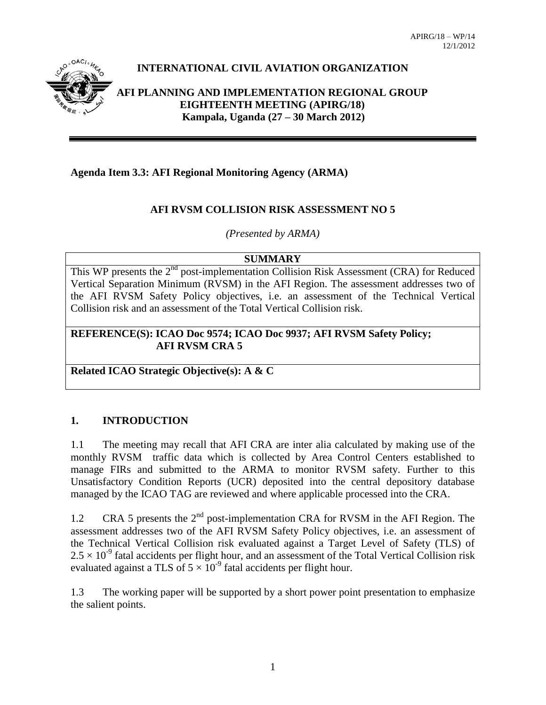

# **INTERNATIONAL CIVIL AVIATION ORGANIZATION**

**AFI PLANNING AND IMPLEMENTATION REGIONAL GROUP EIGHTEENTH MEETING (APIRG/18) Kampala, Uganda (27 – 30 March 2012)**

## **Agenda Item 3.3: AFI Regional Monitoring Agency (ARMA)**

## **AFI RVSM COLLISION RISK ASSESSMENT NO 5**

*(Presented by ARMA)*

#### **SUMMARY**

This WP presents the 2<sup>nd</sup> post-implementation Collision Risk Assessment (CRA) for Reduced Vertical Separation Minimum (RVSM) in the AFI Region. The assessment addresses two of the AFI RVSM Safety Policy objectives, i.e. an assessment of the Technical Vertical Collision risk and an assessment of the Total Vertical Collision risk.

#### **REFERENCE(S): ICAO Doc 9574; ICAO Doc 9937; AFI RVSM Safety Policy; AFI RVSM CRA 5**

**Related ICAO Strategic Objective(s): A & C**

## **1. INTRODUCTION**

1.1 The meeting may recall that AFI CRA are inter alia calculated by making use of the monthly RVSM traffic data which is collected by Area Control Centers established to manage FIRs and submitted to the ARMA to monitor RVSM safety. Further to this Unsatisfactory Condition Reports (UCR) deposited into the central depository database managed by the ICAO TAG are reviewed and where applicable processed into the CRA.

1.2 CRA 5 presents the  $2<sup>nd</sup>$  post-implementation CRA for RVSM in the AFI Region. The assessment addresses two of the AFI RVSM Safety Policy objectives, i.e. an assessment of the Technical Vertical Collision risk evaluated against a Target Level of Safety (TLS) of  $2.5 \times 10^{-9}$  fatal accidents per flight hour, and an assessment of the Total Vertical Collision risk evaluated against a TLS of  $5 \times 10^{-9}$  fatal accidents per flight hour.

1.3 The working paper will be supported by a short power point presentation to emphasize the salient points.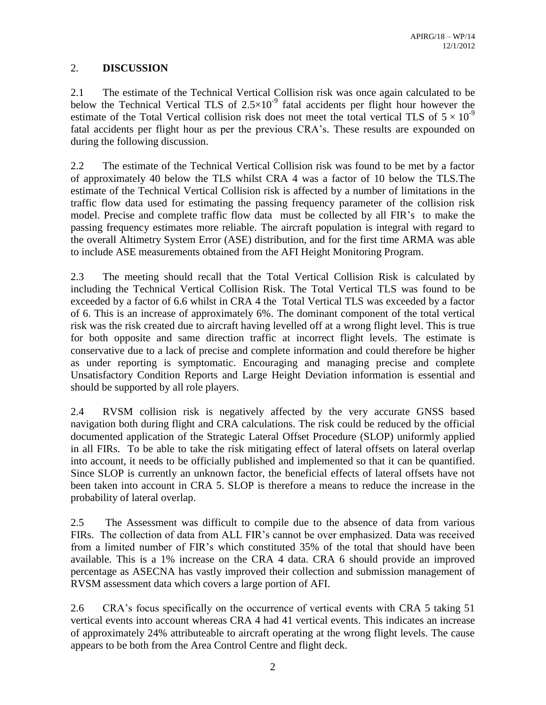## 2. **DISCUSSION**

2.1 The estimate of the Technical Vertical Collision risk was once again calculated to be below the Technical Vertical TLS of  $2.5 \times 10^{-9}$  fatal accidents per flight hour however the estimate of the Total Vertical collision risk does not meet the total vertical TLS of  $5 \times 10^{-9}$ fatal accidents per flight hour as per the previous CRA's. These results are expounded on during the following discussion.

2.2 The estimate of the Technical Vertical Collision risk was found to be met by a factor of approximately 40 below the TLS whilst CRA 4 was a factor of 10 below the TLS.The estimate of the Technical Vertical Collision risk is affected by a number of limitations in the traffic flow data used for estimating the passing frequency parameter of the collision risk model. Precise and complete traffic flow data must be collected by all FIR's to make the passing frequency estimates more reliable. The aircraft population is integral with regard to the overall Altimetry System Error (ASE) distribution, and for the first time ARMA was able to include ASE measurements obtained from the AFI Height Monitoring Program.

2.3 The meeting should recall that the Total Vertical Collision Risk is calculated by including the Technical Vertical Collision Risk. The Total Vertical TLS was found to be exceeded by a factor of 6.6 whilst in CRA 4 the Total Vertical TLS was exceeded by a factor of 6. This is an increase of approximately 6%. The dominant component of the total vertical risk was the risk created due to aircraft having levelled off at a wrong flight level. This is true for both opposite and same direction traffic at incorrect flight levels. The estimate is conservative due to a lack of precise and complete information and could therefore be higher as under reporting is symptomatic. Encouraging and managing precise and complete Unsatisfactory Condition Reports and Large Height Deviation information is essential and should be supported by all role players.

2.4 RVSM collision risk is negatively affected by the very accurate GNSS based navigation both during flight and CRA calculations. The risk could be reduced by the official documented application of the Strategic Lateral Offset Procedure (SLOP) uniformly applied in all FIRs. To be able to take the risk mitigating effect of lateral offsets on lateral overlap into account, it needs to be officially published and implemented so that it can be quantified. Since SLOP is currently an unknown factor, the beneficial effects of lateral offsets have not been taken into account in CRA 5. SLOP is therefore a means to reduce the increase in the probability of lateral overlap.

2.5 The Assessment was difficult to compile due to the absence of data from various FIRs. The collection of data from ALL FIR's cannot be over emphasized. Data was received from a limited number of FIR's which constituted 35% of the total that should have been available. This is a 1% increase on the CRA 4 data. CRA 6 should provide an improved percentage as ASECNA has vastly improved their collection and submission management of RVSM assessment data which covers a large portion of AFI.

2.6 CRA's focus specifically on the occurrence of vertical events with CRA 5 taking 51 vertical events into account whereas CRA 4 had 41 vertical events. This indicates an increase of approximately 24% attributeable to aircraft operating at the wrong flight levels. The cause appears to be both from the Area Control Centre and flight deck.